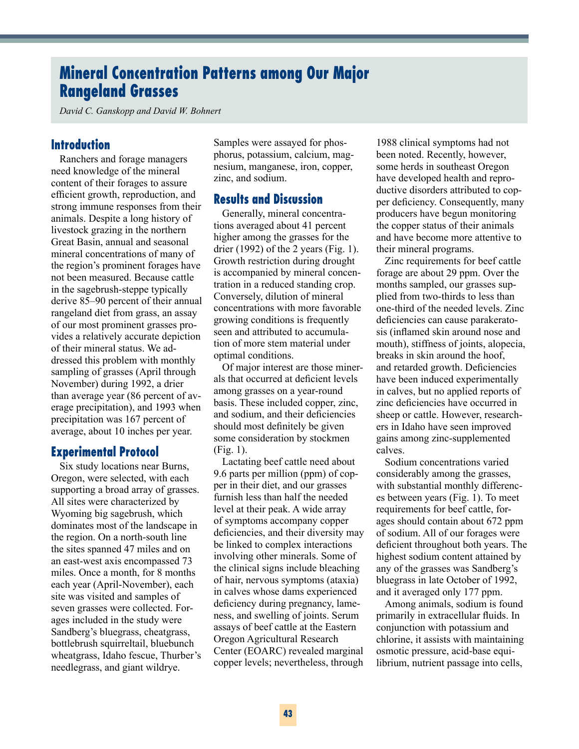# **Mineral Concentration Patterns among Our Major Rangeland Grasses**

*David C. Ganskopp and David W. Bohnert*

### **Introduction**

Ranchers and forage managers need knowledge of the mineral content of their forages to assure efficient growth, reproduction, and strong immune responses from their animals. Despite a long history of livestock grazing in the northern Great Basin, annual and seasonal mineral concentrations of many of the region's prominent forages have not been measured. Because cattle in the sagebrush-steppe typically derive 85–90 percent of their annual rangeland diet from grass, an assay of our most prominent grasses provides a relatively accurate depiction of their mineral status. We addressed this problem with monthly sampling of grasses (April through November) during 1992, a drier than average year (86 percent of average precipitation), and 1993 when precipitation was 167 percent of average, about 10 inches per year.

#### **Experimental Protocol**

Six study locations near Burns, Oregon, were selected, with each supporting a broad array of grasses. All sites were characterized by Wyoming big sagebrush, which dominates most of the landscape in the region. On a north-south line the sites spanned 47 miles and on an east-west axis encompassed 73 miles. Once a month, for 8 months each year (April-November), each site was visited and samples of seven grasses were collected. Forages included in the study were Sandberg's bluegrass, cheatgrass, bottlebrush squirreltail, bluebunch wheatgrass, Idaho fescue, Thurber's needlegrass, and giant wildrye.

Samples were assayed for phosphorus, potassium, calcium, magnesium, manganese, iron, copper, zinc, and sodium.

## **Results and Discussion**

Generally, mineral concentrations averaged about 41 percent higher among the grasses for the drier (1992) of the 2 years (Fig. 1). Growth restriction during drought is accompanied by mineral concentration in a reduced standing crop. Conversely, dilution of mineral concentrations with more favorable growing conditions is frequently seen and attributed to accumulation of more stem material under optimal conditions.

Of major interest are those minerals that occurred at deficient levels among grasses on a year-round basis. These included copper, zinc, and sodium, and their deficiencies should most definitely be given some consideration by stockmen (Fig. 1).

Lactating beef cattle need about 9.6 parts per million (ppm) of copper in their diet, and our grasses furnish less than half the needed level at their peak. A wide array of symptoms accompany copper deficiencies, and their diversity may be linked to complex interactions involving other minerals. Some of the clinical signs include bleaching of hair, nervous symptoms (ataxia) in calves whose dams experienced deficiency during pregnancy, lameness, and swelling of joints. Serum assays of beef cattle at the Eastern Oregon Agricultural Research Center (EOARC) revealed marginal copper levels; nevertheless, through

1988 clinical symptoms had not been noted. Recently, however, some herds in southeast Oregon have developed health and reproductive disorders attributed to copper deficiency. Consequently, many producers have begun monitoring the copper status of their animals and have become more attentive to their mineral programs.

Zinc requirements for beef cattle forage are about 29 ppm. Over the months sampled, our grasses supplied from two-thirds to less than one-third of the needed levels. Zinc deficiencies can cause parakeratosis (inflamed skin around nose and mouth), stiffness of joints, alopecia, breaks in skin around the hoof, and retarded growth. Deficiencies have been induced experimentally in calves, but no applied reports of zinc deficiencies have occurred in sheep or cattle. However, researchers in Idaho have seen improved gains among zinc-supplemented calves.

Sodium concentrations varied considerably among the grasses, with substantial monthly differences between years (Fig. 1). To meet requirements for beef cattle, forages should contain about 672 ppm of sodium. All of our forages were deficient throughout both years. The highest sodium content attained by any of the grasses was Sandberg's bluegrass in late October of 1992, and it averaged only 177 ppm.

Among animals, sodium is found primarily in extracellular fluids. In conjunction with potassium and chlorine, it assists with maintaining osmotic pressure, acid-base equilibrium, nutrient passage into cells,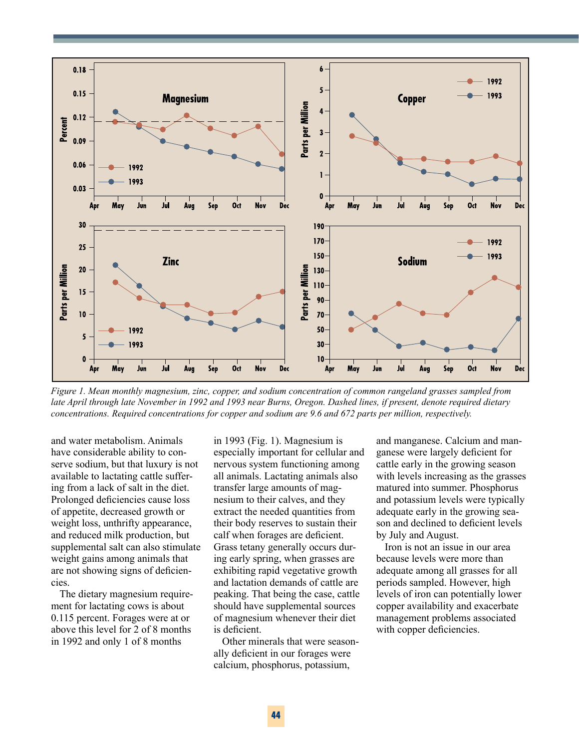

*Figure 1. Mean monthly magnesium, zinc, copper, and sodium concentration of common rangeland grasses sampled from late April through late November in 1992 and 1993 near Burns, Oregon. Dashed lines, if present, denote required dietary concentrations. Required concentrations for copper and sodium are 9.6 and 672 parts per million, respectively.* 

and water metabolism. Animals have considerable ability to conserve sodium, but that luxury is not available to lactating cattle suffering from a lack of salt in the diet. Prolonged deficiencies cause loss of appetite, decreased growth or weight loss, unthrifty appearance, and reduced milk production, but supplemental salt can also stimulate weight gains among animals that are not showing signs of deficiencies.

The dietary magnesium requirement for lactating cows is about 0.115 percent. Forages were at or above this level for 2 of 8 months in 1992 and only 1 of 8 months

in 1993 (Fig. 1). Magnesium is especially important for cellular and nervous system functioning among all animals. Lactating animals also transfer large amounts of magnesium to their calves, and they extract the needed quantities from their body reserves to sustain their calf when forages are deficient. Grass tetany generally occurs during early spring, when grasses are exhibiting rapid vegetative growth and lactation demands of cattle are peaking. That being the case, cattle should have supplemental sources of magnesium whenever their diet is deficient.

Other minerals that were seasonally deficient in our forages were calcium, phosphorus, potassium,

and manganese. Calcium and manganese were largely deficient for cattle early in the growing season with levels increasing as the grasses matured into summer. Phosphorus and potassium levels were typically adequate early in the growing season and declined to deficient levels by July and August.

Iron is not an issue in our area because levels were more than adequate among all grasses for all periods sampled. However, high levels of iron can potentially lower copper availability and exacerbate management problems associated with copper deficiencies.